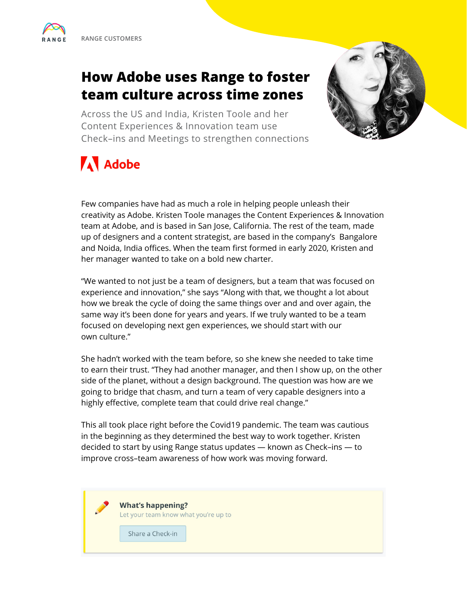## **How Adobe uses Range to foster team culture across time zones**

Across the US and India, Kristen Toole and her Content Experiences & Innovation team use Check–ins and Meetings to strengthen connections



# **A** Adobe

Few companies have had as much a role in helping people unleash their creativity as Adobe. Kristen Toole manages the Content Experiences & Innovation team at Adobe, and is based in San Jose, California. The rest of the team, made up of designers and a content strategist, are based in the company's Bangalore and Noida, India offices. When the team first formed in early 2020, Kristen and her manager wanted to take on a bold new charter.

"We wanted to not just be a team of designers, but a team that was focused on experience and innovation," she says "Along with that, we thought a lot about how we break the cycle of doing the same things over and and over again, the same way it's been done for years and years. If we truly wanted to be a team focused on developing next gen experiences, we should start with our own culture."

She hadn't worked with the team before, so she knew she needed to take time to earn their trust. "They had another manager, and then I show up, on the other side of the planet, without a design background. The question was how are we going to bridge that chasm, and turn a team of very capable designers into a highly effective, complete team that could drive real change."

This all took place right before the Covid19 pandemic. The team was cautious in the beginning as they determined the best way to work together. Kristen decided to start by using Range status updates — known as Check–ins — to improve cross–team awareness of how work was moving forward.

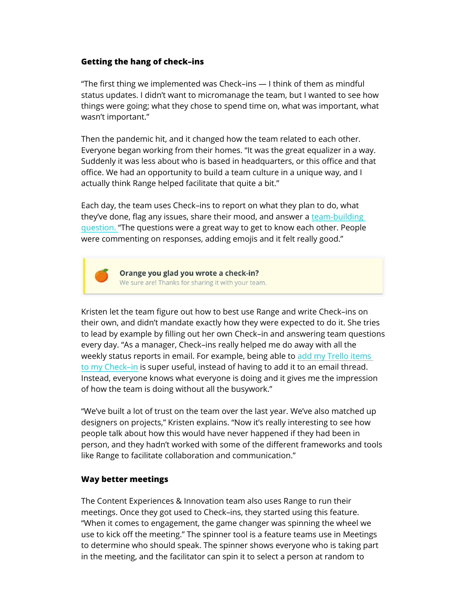### **Getting the hang of check–ins**

"The first thing we implemented was Check–ins — I think of them as mindful status updates. I didn't want to micromanage the team, but I wanted to see how things were going; what they chose to spend time on, what was important, what wasn't important."

Then the pandemic hit, and it changed how the team related to each other. Everyone began working from their homes. "It was the great equalizer in a way. Suddenly it was less about who is based in headquarters, or this office and that office. We had an opportunity to build a team culture in a unique way, and I actually think Range helped facilitate that quite a bit."

Each day, the team uses Check–ins to report on what they plan to do, what they've done, flag any issues, share their mood, and answer a [team-building](https://www.range.co/blog/7-powerful-team-building-questions)  [question. "](https://www.range.co/blog/7-powerful-team-building-questions)The questions were a great way to get to know each other. People were commenting on responses, adding emojis and it felt really good."



Orange you glad you wrote a check-in? We sure are! Thanks for sharing it with your team.

Kristen let the team figure out how to best use Range and write Check–ins on their own, and didn't mandate exactly how they were expected to do it. She tries to lead by example by filling out her own Check–in and answering team questions every day. "As a manager, Check–ins really helped me do away with all the weekly status reports in email. For example, being able to [add my Trello items](https://www.range.co/help/trello)  [to my Check–in](https://www.range.co/help/trello) is super useful, instead of having to add it to an email thread. Instead, everyone knows what everyone is doing and it gives me the impression of how the team is doing without all the busywork."

"We've built a lot of trust on the team over the last year. We've also matched up designers on projects," Kristen explains. "Now it's really interesting to see how people talk about how this would have never happened if they had been in person, and they hadn't worked with some of the different frameworks and tools like Range to facilitate collaboration and communication."

### **Way better meetings**

The Content Experiences & Innovation team also uses Range to run their meetings. Once they got used to Check–ins, they started using this feature. "When it comes to engagement, the game changer was spinning the wheel we use to kick off the meeting." The spinner tool is a feature teams use in Meetings to determine who should speak. The spinner shows everyone who is taking part in the meeting, and the facilitator can spin it to select a person at random to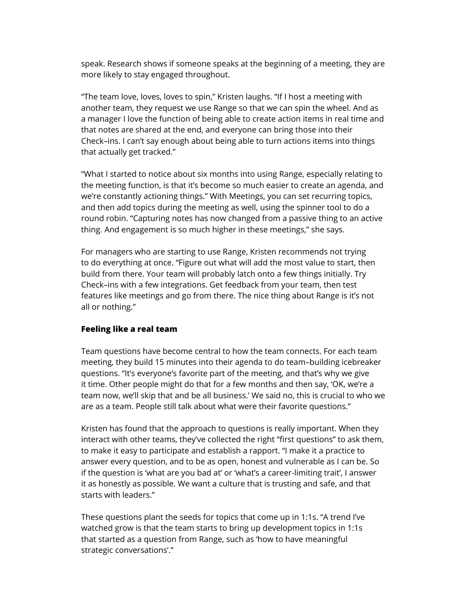speak. Research shows if someone speaks at the beginning of a meeting, they are more likely to stay engaged throughout.

"The team love, loves, loves to spin," Kristen laughs. "If I host a meeting with another team, they request we use Range so that we can spin the wheel. And as a manager I love the function of being able to create action items in real time and that notes are shared at the end, and everyone can bring those into their Check–ins. I can't say enough about being able to turn actions items into things that actually get tracked."

"What I started to notice about six months into using Range, especially relating to the meeting function, is that it's become so much easier to create an agenda, and we're constantly actioning things." With Meetings, you can set recurring topics, and then add topics during the meeting as well, using the spinner tool to do a round robin. "Capturing notes has now changed from a passive thing to an active thing. And engagement is so much higher in these meetings," she says.

For managers who are starting to use Range, Kristen recommends not trying to do everything at once. "Figure out what will add the most value to start, then build from there. Your team will probably latch onto a few things initially. Try Check–ins with a few integrations. Get feedback from your team, then test features like meetings and go from there. The nice thing about Range is it's not all or nothing."

### **Feeling like a real team**

Team questions have become central to how the team connects. For each team meeting, they build 15 minutes into their agenda to do team–building icebreaker questions. "It's everyone's favorite part of the meeting, and that's why we give it time. Other people might do that for a few months and then say, 'OK, we're a team now, we'll skip that and be all business.' We said no, this is crucial to who we are as a team. People still talk about what were their favorite questions."

Kristen has found that the approach to questions is really important. When they interact with other teams, they've collected the right "first questions" to ask them, to make it easy to participate and establish a rapport. "I make it a practice to answer every question, and to be as open, honest and vulnerable as I can be. So if the question is 'what are you bad at' or 'what's a career-limiting trait', I answer it as honestly as possible. We want a culture that is trusting and safe, and that starts with leaders."

These questions plant the seeds for topics that come up in 1:1s. "A trend I've watched grow is that the team starts to bring up development topics in 1:1s that started as a question from Range, such as 'how to have meaningful strategic conversations'."